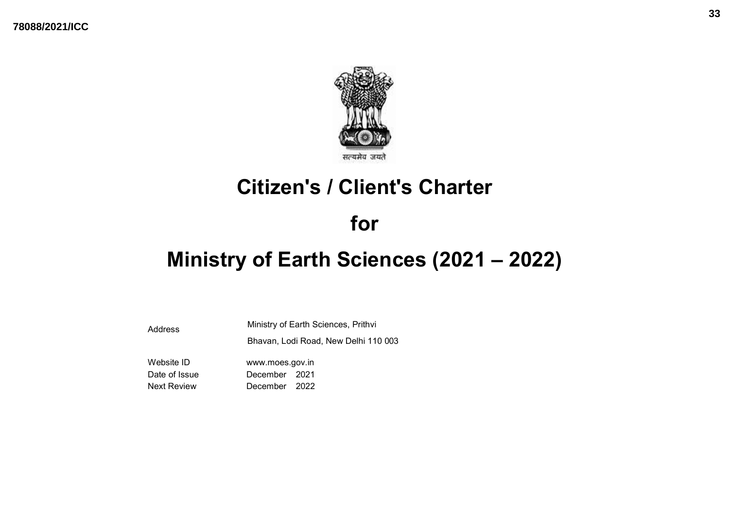

# Citizen's / Client's Charter

# for

# Ministry of Earth Sciences (2021 – 2022)

Address Ministry of Earth Sciences, Prithvi Bhavan, Lodi Road, New Delhi 110 003

Website ID www.moes.gov.in Date of Issue **December** 2021 Next Review December 2022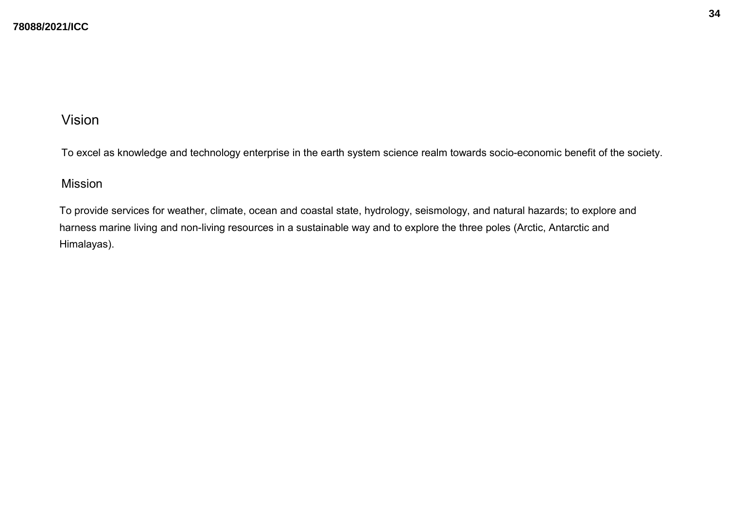## Vision

To excel as knowledge and technology enterprise in the earth system science realm towards socio-economic benefit of the society.

### Mission

To provide services for weather, climate, ocean and coastal state, hydrology, seismology, and natural hazards; to explore and harness marine living and non-living resources in a sustainable way and to explore the three poles (Arctic, Antarctic and Himalayas).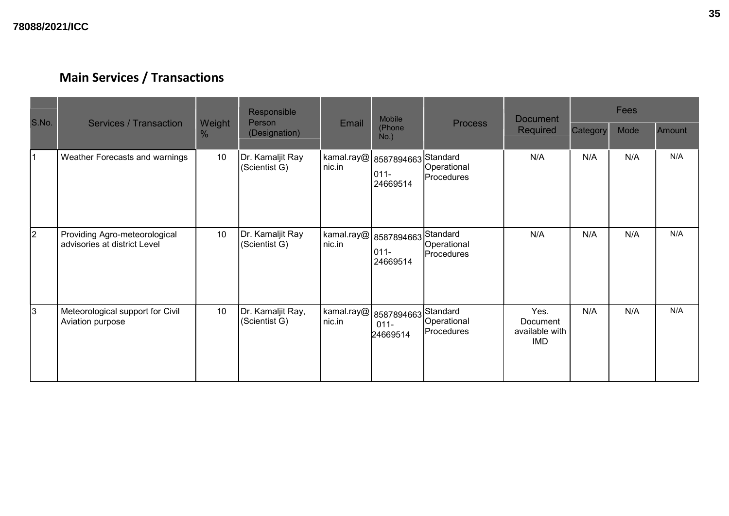| S.No. | <b>Services / Transaction</b>                                 |             | Responsible<br>Person              | Email                             | <b>Mobile</b>                              | <b>Process</b>            | <b>Document</b>                                  | Fees     |      |        |
|-------|---------------------------------------------------------------|-------------|------------------------------------|-----------------------------------|--------------------------------------------|---------------------------|--------------------------------------------------|----------|------|--------|
|       |                                                               | Weight<br>% | (Designation)                      |                                   | (Phone<br>$No.$ )                          |                           | <b>Required</b>                                  | Category | Mode | Amount |
| 11    | Weather Forecasts and warnings                                | 10          | Dr. Kamaljit Ray<br>(Scientist G)  | $ \!$ kamal.ray@ $ \! $<br>nic.in | 8587894663 Standard<br>$011 -$<br>24669514 | Operational<br>Procedures | N/A                                              | N/A      | N/A  | N/A    |
| 2     | Providing Agro-meteorological<br>advisories at district Level | 10          | Dr. Kamaljit Ray<br>(Scientist G)  | kamal.ray@<br>nic.in              | 8587894663 Standard<br>$011 -$<br>24669514 | Operational<br>Procedures | N/A                                              | N/A      | N/A  | N/A    |
| 3     | Meteorological support for Civil<br>Aviation purpose          | 10          | Dr. Kamaljit Ray,<br>(Scientist G) | kamal.ray@<br>nic.in              | 8587894663 Standard<br>$011 -$<br>24669514 | Operational<br>Procedures | Yes.<br>Document<br>available with<br><b>IMD</b> | N/A      | N/A  | N/A    |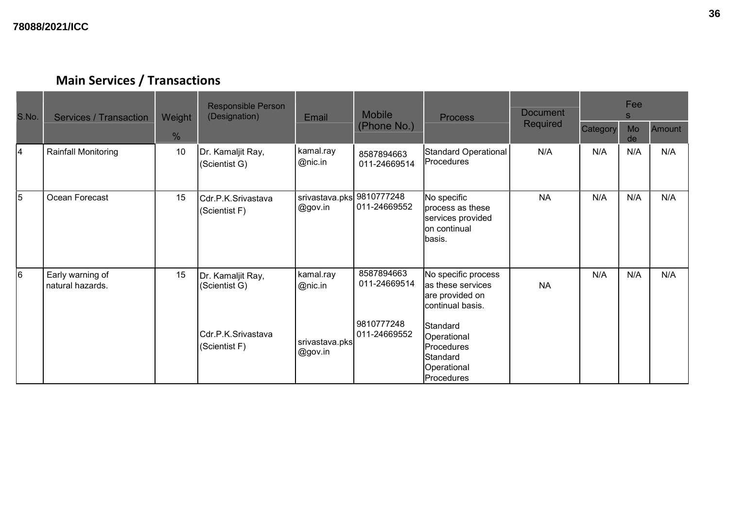| S.No. | <b>Services / Transaction</b>        | Weight | <b>Responsible Person</b><br>(Designation)               | Email                                  | <b>Mobile</b>                                            | <b>Process</b>                                                                                             | <b>Document</b> | Fee<br>S. |          |        |
|-------|--------------------------------------|--------|----------------------------------------------------------|----------------------------------------|----------------------------------------------------------|------------------------------------------------------------------------------------------------------------|-----------------|-----------|----------|--------|
|       |                                      | $\%$   |                                                          |                                        | (Phone No.)                                              |                                                                                                            | <b>Required</b> | Category  | Mo<br>de | Amount |
| 4     | Rainfall Monitoring                  | 10     | Dr. Kamaljit Ray,<br>(Scientist G)                       | kamal.ray<br>@nic.in                   | 8587894663<br>011-24669514                               | Standard Operational<br>Procedures                                                                         | N/A             | N/A       | N/A      | N/A    |
| 5     | Ocean Forecast                       | 15     | Cdr.P.K.Srivastava<br>(Scientist F)                      | srivastava.pks<br>@gov.in              | 9810777248<br>011-24669552                               | No specific<br>process as these<br>services provided<br>on continual<br>basis.                             | <b>NA</b>       | N/A       | N/A      | N/A    |
| 6     | Early warning of<br>natural hazards. | 15     | Dr. Kamaljit Ray,<br>(Scientist G)<br>Cdr.P.K.Srivastava | kamal.ray<br>@nic.in<br>srivastava.pks | 8587894663<br>011-24669514<br>9810777248<br>011-24669552 | No specific process<br>as these services<br>are provided on<br>continual basis.<br>Standard<br>Operational | <b>NA</b>       | N/A       | N/A      | N/A    |
|       |                                      |        | (Scientist F)                                            | @gov.in                                |                                                          | <b>Procedures</b><br>Standard<br>Operational<br>Procedures                                                 |                 |           |          |        |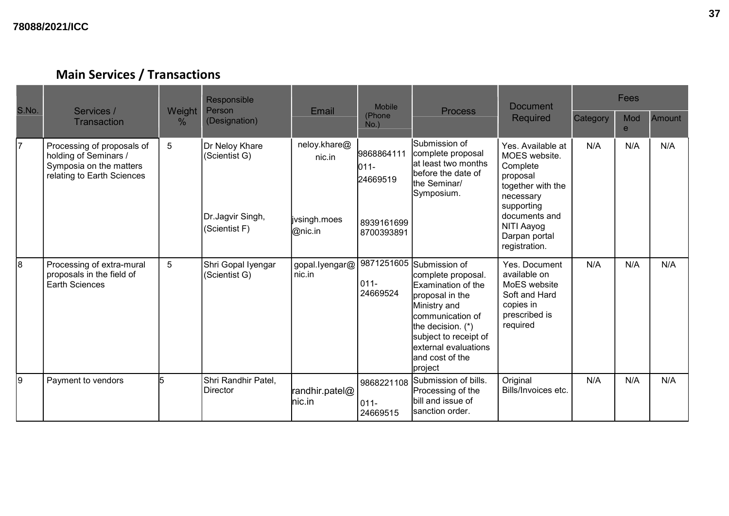| S.No. | Services /                                                                                                   | Weight | Responsible<br>Mobile<br>Person<br>Email                             |                                                   | <b>Document</b><br><b>Process</b>                          |                                                                                                                                                                                                                                   | Fees                                                                                                                                                                        |          |                     |               |
|-------|--------------------------------------------------------------------------------------------------------------|--------|----------------------------------------------------------------------|---------------------------------------------------|------------------------------------------------------------|-----------------------------------------------------------------------------------------------------------------------------------------------------------------------------------------------------------------------------------|-----------------------------------------------------------------------------------------------------------------------------------------------------------------------------|----------|---------------------|---------------|
|       | <b>Transaction</b>                                                                                           | $\%$   | (Designation)                                                        |                                                   | (Phone<br>$No.$ )                                          |                                                                                                                                                                                                                                   | <b>Required</b>                                                                                                                                                             | Category | Mod<br>$\mathbf{e}$ | <b>Amount</b> |
| 17    | Processing of proposals of<br>holding of Seminars /<br>Symposia on the matters<br>relating to Earth Sciences | 5      | Dr Neloy Khare<br>(Scientist G)<br>Dr.Jagvir Singh,<br>(Scientist F) | neloy.khare@<br>nic.in<br>ivsingh.moes<br>@nic.in | 9868864111<br>011-<br>24669519<br>8939161699<br>8700393891 | lSubmission of<br>complete proposal<br>lat least two months<br>before the date of<br>the Seminar/<br>Symposium.                                                                                                                   | Yes. Available at<br>MOES website.<br>Complete<br>proposal<br>together with the<br>necessary<br>supporting<br>documents and<br>NITI Aayog<br>Darpan portal<br>registration. | N/A      | N/A                 | N/A           |
| 8     | Processing of extra-mural<br>proposals in the field of<br><b>Earth Sciences</b>                              | 5      | Shri Gopal Iyengar<br>(Scientist G)                                  | gopal.lyengar@<br>nic.in                          | $011 -$<br>24669524                                        | 9871251605 Submission of<br>complete proposal.<br>Examination of the<br>proposal in the<br>Ministry and<br>communication of<br>the decision. (*)<br>subject to receipt of<br>lexternal evaluations<br>and cost of the<br> project | Yes. Document<br>available on<br>MoES website<br>Soft and Hard<br>copies in<br>prescribed is<br>required                                                                    | N/A      | N/A                 | N/A           |
| l9    | Payment to vendors                                                                                           | 5      | Shri Randhir Patel,<br>Director                                      | randhir.patel@<br>lnic.in                         | 9868221108<br>$011 -$<br>24669515                          | Submission of bills.<br>Processing of the<br>bill and issue of<br>sanction order.                                                                                                                                                 | Original<br>Bills/Invoices etc.                                                                                                                                             | N/A      | N/A                 | N/A           |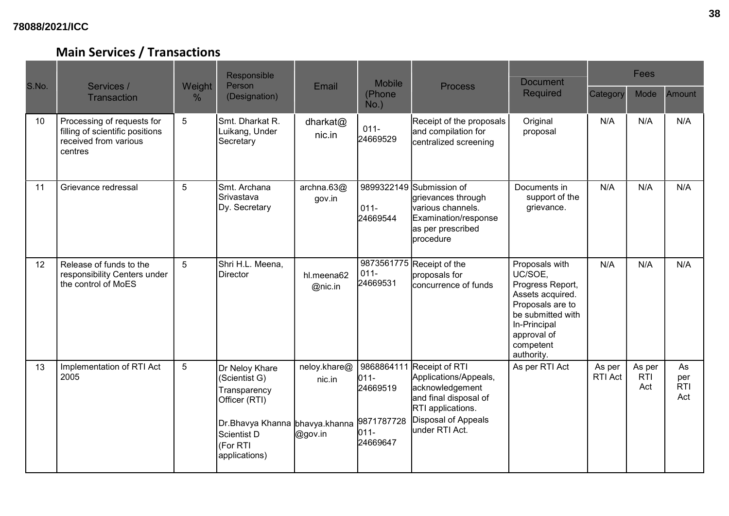### **78088/2021/ICC**

| S.No. |                                                                                                   |                | Responsible                                                                                                                                    |                                   | <b>Mobile</b>                                                          |                                                                                                                                                   | <b>Document</b>                                                                                                                                                      |                          | Fees                        |                                |
|-------|---------------------------------------------------------------------------------------------------|----------------|------------------------------------------------------------------------------------------------------------------------------------------------|-----------------------------------|------------------------------------------------------------------------|---------------------------------------------------------------------------------------------------------------------------------------------------|----------------------------------------------------------------------------------------------------------------------------------------------------------------------|--------------------------|-----------------------------|--------------------------------|
|       | Services /<br><b>Transaction</b>                                                                  | Weight<br>℅    | Person<br>(Designation)                                                                                                                        | Email                             | (Phone<br>$No.$ )                                                      | <b>Process</b>                                                                                                                                    | <b>Required</b>                                                                                                                                                      | Category                 | Mode                        | <b>Amount</b>                  |
| 10    | Processing of requests for<br>filling of scientific positions<br>received from various<br>centres | $\overline{5}$ | Smt. Dharkat R.<br>Luikang, Under<br>Secretary                                                                                                 | dharkat@<br>nic.in                | $011 -$<br>24669529                                                    | Receipt of the proposals<br>and compilation for<br>centralized screening                                                                          | Original<br>proposal                                                                                                                                                 | N/A                      | N/A                         | N/A                            |
| 11    | Grievance redressal                                                                               | 5              | İSmt. Archana<br>ISrivastava<br>Dy. Secretary                                                                                                  | archna. $63@$<br>gov.in           | $011 -$<br>24669544                                                    | 9899322149 Submission of<br>grievances through<br>various channels.<br>Examination/response<br>as per prescribed<br>procedure                     | Documents in<br>support of the<br>grievance.                                                                                                                         | N/A                      | N/A                         | N/A                            |
| 12    | Release of funds to the<br>responsibility Centers under<br>the control of MoES                    | 5              | Shri H.L. Meena,<br><b>Director</b>                                                                                                            | hl.meena62<br>@nic.in             | $011 -$<br>24669531                                                    | 9873561775 Receipt of the<br>proposals for<br>lconcurrence of funds                                                                               | Proposals with<br>UC/SOE,<br>Progress Report,<br>Assets acquired.<br>Proposals are to<br>be submitted with<br>In-Principal<br>approval of<br>competent<br>authority. | N/A                      | N/A                         | N/A                            |
| 13    | Implementation of RTI Act<br>2005                                                                 | 5              | Dr Neloy Khare<br>(Scientist G)<br>Transparency<br>Officer (RTI)<br>Dr.Bhavya Khanna bhavya.khanna<br>Scientist D<br>(For RTI<br>applications) | neloy.khare@<br>nic.in<br>@gov.in | 9868864111<br>$011 -$<br>24669519<br>9871787728<br>$011 -$<br>24669647 | Receipt of RTI<br>Applications/Appeals,<br>acknowledgement<br>and final disposal of<br>RTI applications.<br>Disposal of Appeals<br>under RTI Act. | As per RTI Act                                                                                                                                                       | As per<br><b>RTI Act</b> | As per<br><b>RTI</b><br>Act | As<br>per<br><b>RTI</b><br>Act |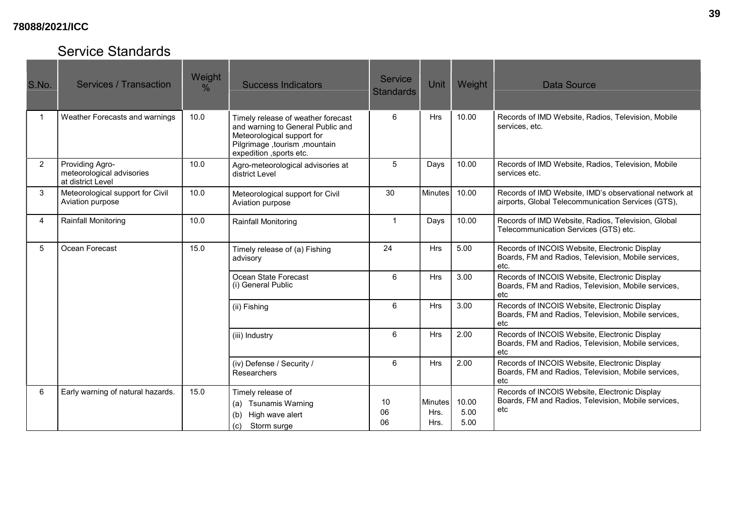### **78088/2021/ICC**

# Service Standards

| S.No.          | Services / Transaction                                            | Weight<br>$\%$ | <b>Success Indicators</b>                                                                                                                                          | <b>Service</b><br><b>Standards</b> | Unit                           | Weight                | <b>Data Source</b>                                                                                           |
|----------------|-------------------------------------------------------------------|----------------|--------------------------------------------------------------------------------------------------------------------------------------------------------------------|------------------------------------|--------------------------------|-----------------------|--------------------------------------------------------------------------------------------------------------|
|                | Weather Forecasts and warnings                                    | 10.0           | Timely release of weather forecast<br>and warning to General Public and<br>Meteorological support for<br>Pilgrimage, tourism, mountain<br>expedition , sports etc. | 6                                  | <b>Hrs</b>                     | 10.00                 | Records of IMD Website, Radios, Television, Mobile<br>services, etc.                                         |
| $\overline{2}$ | Providing Agro-<br>meteorological advisories<br>at district Level | 10.0           | Agro-meteorological advisories at<br>district Level                                                                                                                | 5                                  | Days                           | 10.00                 | Records of IMD Website, Radios, Television, Mobile<br>services etc.                                          |
| 3              | Meteorological support for Civil<br>Aviation purpose              | 10.0           | Meteorological support for Civil<br>Aviation purpose                                                                                                               | 30                                 | Minutes                        | 10.00                 | Records of IMD Website, IMD's observational network at<br>airports, Global Telecommunication Services (GTS), |
| $\overline{4}$ | <b>Rainfall Monitoring</b>                                        | 10.0           | Rainfall Monitoring                                                                                                                                                | $\overline{1}$                     | Days                           | 10.00                 | Records of IMD Website, Radios, Television, Global<br>Telecommunication Services (GTS) etc.                  |
| 5              | Ocean Forecast                                                    | 15.0           | Timely release of (a) Fishing<br>advisory                                                                                                                          | 24                                 | Hrs                            | 5.00                  | Records of INCOIS Website, Electronic Display<br>Boards, FM and Radios, Television, Mobile services,<br>etc. |
|                |                                                                   |                | Ocean State Forecast<br>(i) General Public                                                                                                                         | 6                                  | Hrs                            | 3.00                  | Records of INCOIS Website, Electronic Display<br>Boards, FM and Radios, Television, Mobile services,<br>etc  |
|                |                                                                   |                | (ii) Fishing                                                                                                                                                       | 6                                  | <b>Hrs</b>                     | 3.00                  | Records of INCOIS Website, Electronic Display<br>Boards, FM and Radios, Television, Mobile services,<br>etc  |
|                |                                                                   |                | (iii) Industry                                                                                                                                                     | 6                                  | Hrs                            | 2.00                  | Records of INCOIS Website, Electronic Display<br>Boards, FM and Radios, Television, Mobile services,<br>etc. |
|                |                                                                   |                | (iv) Defense / Security /<br>Researchers                                                                                                                           | 6                                  | Hrs                            | 2.00                  | Records of INCOIS Website, Electronic Display<br>Boards, FM and Radios, Television, Mobile services,<br>etc  |
| 6              | Early warning of natural hazards.                                 | 15.0           | Timely release of<br><b>Tsunamis Warning</b><br>(a)<br>(b)<br>High wave alert<br>Storm surge<br>(c)                                                                | 10<br>06<br>06                     | <b>Minutes</b><br>Hrs.<br>Hrs. | 10.00<br>5.00<br>5.00 | Records of INCOIS Website, Electronic Display<br>Boards, FM and Radios, Television, Mobile services,<br>etc  |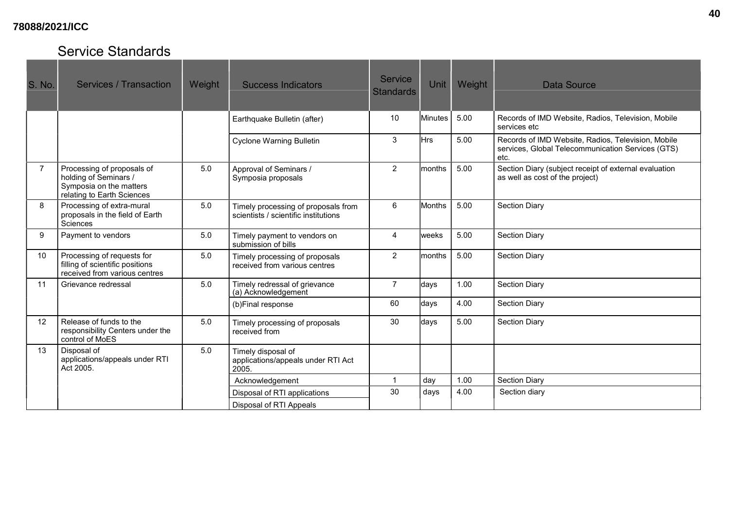### **78088/2021/ICC**

# Service Standards

| S. No.         | <b>Services / Transaction</b>                                                                                | Weight | <b>Success Indicators</b>                                                   | <b>Service</b><br><b>Standards</b> | <b>Unit</b>    | Weight | Data Source                                                                                                     |
|----------------|--------------------------------------------------------------------------------------------------------------|--------|-----------------------------------------------------------------------------|------------------------------------|----------------|--------|-----------------------------------------------------------------------------------------------------------------|
|                |                                                                                                              |        | Earthquake Bulletin (after)                                                 | 10                                 | <b>Minutes</b> | 5.00   | Records of IMD Website, Radios, Television, Mobile<br>services etc                                              |
|                |                                                                                                              |        | <b>Cyclone Warning Bulletin</b>                                             | 3                                  | Hrs            | 5.00   | Records of IMD Website, Radios, Television, Mobile<br>services, Global Telecommunication Services (GTS)<br>etc. |
| $\overline{7}$ | Processing of proposals of<br>holding of Seminars /<br>Symposia on the matters<br>relating to Earth Sciences | 5.0    | Approval of Seminars /<br>Symposia proposals                                | 2                                  | months         | 5.00   | Section Diary (subject receipt of external evaluation<br>as well as cost of the project)                        |
| 8              | Processing of extra-mural<br>proposals in the field of Earth<br>Sciences                                     | 5.0    | Timely processing of proposals from<br>scientists / scientific institutions | 6                                  | Months         | 5.00   | <b>Section Diary</b>                                                                                            |
| 9              | Payment to vendors                                                                                           | 5.0    | Timely payment to vendors on<br>submission of bills                         | 4                                  | weeks          | 5.00   | <b>Section Diary</b>                                                                                            |
| 10             | Processing of requests for<br>filling of scientific positions<br>received from various centres               | 5.0    | Timely processing of proposals<br>received from various centres             | $\overline{2}$                     | Imonths        | 5.00   | <b>Section Diary</b>                                                                                            |
| 11             | Grievance redressal                                                                                          | 5.0    | Timely redressal of grievance<br>(a) Acknowledgement                        | $\overline{7}$                     | days           | 1.00   | <b>Section Diary</b>                                                                                            |
|                |                                                                                                              |        | (b)Final response                                                           | 60                                 | days           | 4.00   | <b>Section Diary</b>                                                                                            |
| 12             | Release of funds to the<br>responsibility Centers under the<br>control of MoES                               | 5.0    | Timely processing of proposals<br>received from                             | 30                                 | days           | 5.00   | <b>Section Diary</b>                                                                                            |
| 13             | Disposal of<br>applications/appeals under RTI<br>Act 2005.                                                   | 5.0    | Timely disposal of<br>applications/appeals under RTI Act<br>2005.           |                                    |                |        |                                                                                                                 |
|                |                                                                                                              |        | Acknowledgement                                                             | $\overline{\mathbf{1}}$            | day            | 1.00   | <b>Section Diary</b>                                                                                            |
|                |                                                                                                              |        | Disposal of RTI applications                                                | 30                                 | days           | 4.00   | Section diary                                                                                                   |
|                |                                                                                                              |        | Disposal of RTI Appeals                                                     |                                    |                |        |                                                                                                                 |